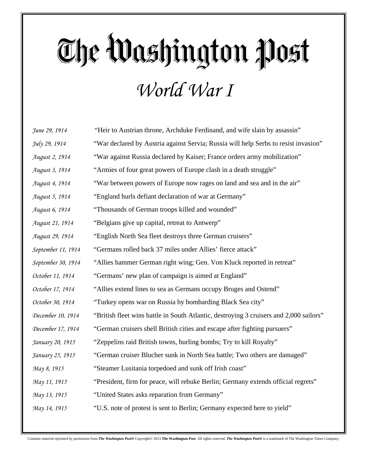## The Washington Post *World War I*

| June 29, 1914         | "Heir to Austrian throne, Archduke Ferdinand, and wife slain by assassin"              |
|-----------------------|----------------------------------------------------------------------------------------|
| July 29, 1914         | "War declared by Austria against Servia; Russia will help Serbs to resist invasion"    |
| August 2, 1914        | "War against Russia declared by Kaiser; France orders army mobilization"               |
| August 3, 1914        | "Armies of four great powers of Europe clash in a death struggle"                      |
| August 4, 1914        | "War between powers of Europe now rages on land and sea and in the air"                |
| August 5, 1914        | "England hurls defiant declaration of war at Germany"                                  |
| <i>August 6, 1914</i> | "Thousands of German troops killed and wounded"                                        |
| August 21, 1914       | "Belgians give up capital, retreat to Antwerp"                                         |
| August 29, 1914       | "English North Sea fleet destroys three German cruisers"                               |
| September 11, 1914    | "Germans rolled back 37 miles under Allies' fierce attack"                             |
| September 30, 1914    | "Allies hammer German right wing; Gen. Von Kluck reported in retreat"                  |
| October 11, 1914      | "Germans' new plan of campaign is aimed at England"                                    |
| October 17, 1914      | "Allies extend lines to sea as Germans occupy Bruges and Ostend"                       |
| October 30, 1914      | "Turkey opens war on Russia by bombarding Black Sea city"                              |
| December 10, 1914     | "British fleet wins battle in South Atlantic, destroying 3 cruisers and 2,000 sailors" |
| December 17, 1914     | "German cruisers shell British cities and escape after fighting pursuers"              |
| January 20, 1915      | "Zeppelins raid British towns, hurling bombs; Try to kill Royalty"                     |
| January 25, 1915      | "German cruiser Blucher sunk in North Sea battle; Two others are damaged"              |
| May 8, 1915           | "Steamer Lusitania torpedoed and sunk off Irish coast"                                 |
| May 11, 1915          | "President, firm for peace, will rebuke Berlin; Germany extends official regrets"      |
| May 13, 1915          | "United States asks reparation from Germany"                                           |
| May 14, 1915          | "U.S. note of protest is sent to Berlin; Germany expected here to yield"               |
|                       |                                                                                        |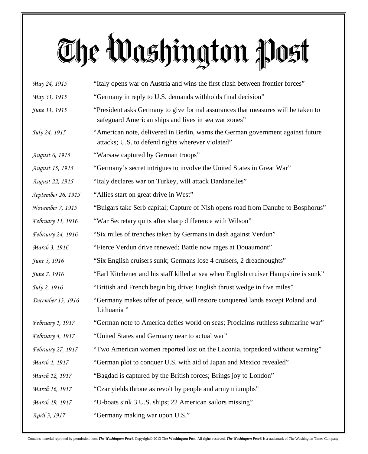## The Washington Post

| May 24, 1915             | "Italy opens war on Austria and wins the first clash between frontier forces"                                                            |
|--------------------------|------------------------------------------------------------------------------------------------------------------------------------------|
| May 31, 1915             | "Germany in reply to U.S. demands withholds final decision"                                                                              |
| June 11, 1915            | "President asks Germany to give formal assurances that measures will be taken to<br>safeguard American ships and lives in sea war zones" |
| July 24, 1915            | "American note, delivered in Berlin, warns the German government against future<br>attacks; U.S. to defend rights wherever violated"     |
| <i>August 6, 1915</i>    | "Warsaw captured by German troops"                                                                                                       |
| August 15, 1915          | "Germany's secret intrigues to involve the United States in Great War"                                                                   |
| August 22, 1915          | "Italy declares war on Turkey, will attack Dardanelles"                                                                                  |
| September 26, 1915       | "Allies start on great drive in West"                                                                                                    |
| November 7, 1915         | "Bulgars take Serb capital; Capture of Nish opens road from Danube to Bosphorus"                                                         |
| <i>February 11, 1916</i> | "War Secretary quits after sharp difference with Wilson"                                                                                 |
| <i>February 24, 1916</i> | "Six miles of trenches taken by Germans in dash against Verdun"                                                                          |
| March 3, 1916            | "Fierce Verdun drive renewed; Battle now rages at Douaumont"                                                                             |
| June 3, 1916             | "Six English cruisers sunk; Germans lose 4 cruisers, 2 dreadnoughts"                                                                     |
| June 7, 1916             | "Earl Kitchener and his staff killed at sea when English cruiser Hampshire is sunk"                                                      |
| July 2, 1916             | "British and French begin big drive; English thrust wedge in five miles"                                                                 |
| December 13, 1916        | "Germany makes offer of peace, will restore conquered lands except Poland and<br>Lithuania <sup>"</sup>                                  |
| <i>February 1, 1917</i>  | "German note to America defies world on seas; Proclaims ruthless submarine war"                                                          |
| <i>February 4, 1917</i>  | "United States and Germany near to actual war"                                                                                           |
| February 27, 1917        | "Two American women reported lost on the Laconia, torpedoed without warning"                                                             |
| March 1, 1917            | "German plot to conquer U.S. with aid of Japan and Mexico revealed"                                                                      |
| March 12, 1917           | "Bagdad is captured by the British forces; Brings joy to London"                                                                         |
| March 16, 1917           | "Czar yields throne as revolt by people and army triumphs"                                                                               |
| March 19, 1917           | "U-boats sink 3 U.S. ships; 22 American sailors missing"                                                                                 |
| April 3, 1917            | "Germany making war upon U.S."                                                                                                           |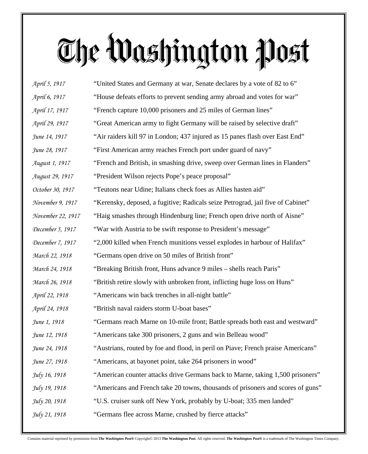## The Washington Post

| April 5, 1917      | "United States and Germany at war, Senate declares by a vote of 82 to 6"         |
|--------------------|----------------------------------------------------------------------------------|
| April 6, 1917      | "House defeats efforts to prevent sending army abroad and votes for war"         |
| April 17, 1917     | "French capture 10,000 prisoners and 25 miles of German lines"                   |
| April 29, 1917     | "Great American army to fight Germany will be raised by selective draft"         |
| June 14, 1917      | "Air raiders kill 97 in London; 437 injured as 15 panes flash over East End"     |
| June 28, 1917      | "First American army reaches French port under guard of navy"                    |
| August 1, 1917     | "French and British, in smashing drive, sweep over German lines in Flanders"     |
| August 29, 1917    | "President Wilson rejects Pope's peace proposal"                                 |
| October 30, 1917   | "Teutons near Udine; Italians check foes as Allies hasten aid"                   |
| November 9, 1917   | "Kerensky, deposed, a fugitive; Radicals seize Petrograd, jail five of Cabinet"  |
| November 22, 1917  | "Haig smashes through Hindenburg line; French open drive north of Aisne"         |
| December 5, $1917$ | "War with Austria to be swift response to President's message"                   |
| December 7, 1917   | "2,000 killed when French munitions vessel explodes in harbour of Halifax"       |
| March 22, 1918     | "Germans open drive on 50 miles of British front"                                |
| March 24, 1918     | "Breaking British front, Huns advance 9 miles – shells reach Paris"              |
| March 26, 1918     | "British retire slowly with unbroken front, inflicting huge loss on Huns"        |
| April 22, 1918     | "Americans win back trenches in all-night battle"                                |
| April 24, 1918     | "British naval raiders storm U-boat bases"                                       |
| June 1, 1918       | "Germans reach Marne on 10-mile front; Battle spreads both east and westward"    |
| June 12, 1918      | "Americans take 300 prisoners, 2 guns and win Belleau wood"                      |
| June 24, 1918      | "Austrians, routed by foe and flood, in peril on Piave; French praise Americans" |
| June 27, 1918      | "Americans, at bayonet point, take 264 prisoners in wood"                        |
| July 16, 1918      | "American counter attacks drive Germans back to Marne, taking 1,500 prisoners"   |
| July 19, 1918      | "Americans and French take 20 towns, thousands of prisoners and scores of guns"  |
| July 20, 1918      | "U.S. cruiser sunk off New York, probably by U-boat; 335 men landed"             |
| July 21, 1918      | "Germans flee across Marne, crushed by fierce attacks"                           |